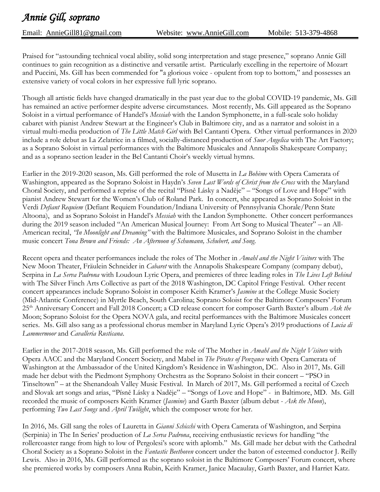Email: [AnnieGill81@gmail.com](mailto:AnnieGill81@gmail.com) Website: [www.AnnieGill.com](http://www.anniegill.com/) Mobile: 513-379-4868

Praised for "astounding technical vocal ability, solid song interpretation and stage presence," soprano Annie Gill continues to gain recognition as a distinctive and versatile artist. Particularly excelling in the repertoire of Mozart and Puccini, Ms. Gill has been commended for "a glorious voice - opulent from top to bottom," and possesses an extensive variety of vocal colors in her expressive full lyric soprano.

Though all artistic fields have changed dramatically in the past year due to the global COVID-19 pandemic, Ms. Gill has remained an active performer despite adverse circumstances. Most recently, Ms. Gill appeared as the Soprano Soloist in a virtual performance of Handel's *Messiah* with the Landon Symphonette, in a full-scale solo holiday cabaret with pianist Andrew Stewart at the Engineer's Club in Baltimore city, and as a narrator and soloist in a virtual multi-media production of *The Little Match Girl* with Bel Cantanti Opera. Other virtual performances in 2020 include a role debut as La Zelatrice in a filmed, socially-distanced production of *Suor Angelica* with The Art Factory; as a Soprano Soloist in virtual performances with the Baltimore Musicales and Annapolis Shakespeare Company; and as a soprano section leader in the Bel Cantanti Choir's weekly virtual hymns.

Earlier in the 2019-2020 season, Ms. Gill performed the role of Musetta in *La Bohème* with Opera Camerata of Washington, appeared as the Soprano Soloist in Haydn's *Seven Last Words of Christ from the Cross* with the Maryland Choral Society, and performed a reprise of the recital "Písně Lásky a Naděje" – "Songs of Love and Hope" with pianist Andrew Stewart for the Women's Club of Roland Park. In concert, she appeared as Soprano Soloist in the Verdi *Defiant Requiem* (Defiant Requiem Foundation/Indiana University of Pennsylvania Chorale/Penn State Altoona), and as Soprano Soloist in Handel's *Messiah* with the Landon Symphonette. Other concert performances during the 2019 season included "An American Musical Journey: From Art Song to Musical Theater" – an All-American recital, *"In Moonlight and Dreaming"* with the Baltimore Musicales, and Soprano Soloist in the chamber music concert *Tona Brown and Friends: An Afternoon of Schumann, Schubert, and Song*.

Recent opera and theater performances include the roles of The Mother in *Amahl and the Night Visitors* with The New Moon Theater, Fräulein Schneider in *Cabaret* with the Annapolis Shakespeare Company (company debut), Serpina in *La Serva Padrona* with Loudoun Lyric Opera, and premieres of three leading roles in *The Lives Left Behind* with The Silver Finch Arts Collective as part of the 2018 Washington, DC Capitol Fringe Festival. Other recent concert appearances include Soprano Soloist in composer Keith Kramer's *Jasmine* at the College Music Society (Mid-Atlantic Conference) in Myrtle Beach, South Carolina; Soprano Soloist for the Baltimore Composers' Forum 25th Anniversary Concert and Fall 2018 Concert; a CD release concert for composer Garth Baxter's album *Ask the*  Moon; Soprano Soloist for the Opera NOVA gala, and recital performances with the Baltimore Musicales concert series. Ms. Gill also sang as a professional chorus member in Maryland Lyric Opera's 2019 productions of *Lucia di Lammermoor* and *Cavalleria Rusticana*.

Earlier in the 2017-2018 season, Ms. Gill performed the role of The Mother in *Amahl and the Night Visitors* with Opera AACC and the Maryland Concert Society, and Mabel in *The Pirates of Penzance* with Opera Camerata of Washington at the Ambassador of the United Kingdom's Residence in Washington, DC. Also in 2017, Ms. Gill made her debut with the Piedmont Symphony Orchestra as the Soprano Soloist in their concert – "PSO in Tinseltown" – at the Shenandoah Valley Music Festival. In March of 2017, Ms. Gill performed a recital of Czech and Slovak art songs and arias, "Písně Lásky a Naděje" – "Songs of Love and Hope" - in Baltimore, MD. Ms. Gill recorded the music of composers Keith Kramer (*Jasmine*) and Garth Baxter (album debut - *Ask the Moon*), performing *Two Last Songs* and *April Twilight*, which the composer wrote for her.

In 2016, Ms. Gill sang the roles of Lauretta in *Gianni Schicchi* with Opera Camerata of Washington, and Serpina (Serpinia) in The In Series' production of *La Serva Padrona*, receiving enthusiastic reviews for handling "the rollercoaster range from high to low of Pergolesi's score with aplomb." Ms. Gill made her debut with the Cathedral Choral Society as a Soprano Soloist in the *Fantastic Beethoven* concert under the baton of esteemed conductor J. Reilly Lewis. Also in 2016, Ms. Gill performed as the soprano soloist in the Baltimore Composers' Forum concert, where she premiered works by composers Anna Rubin, Keith Kramer, Janice Macaulay, Garth Baxter, and Harriet Katz.